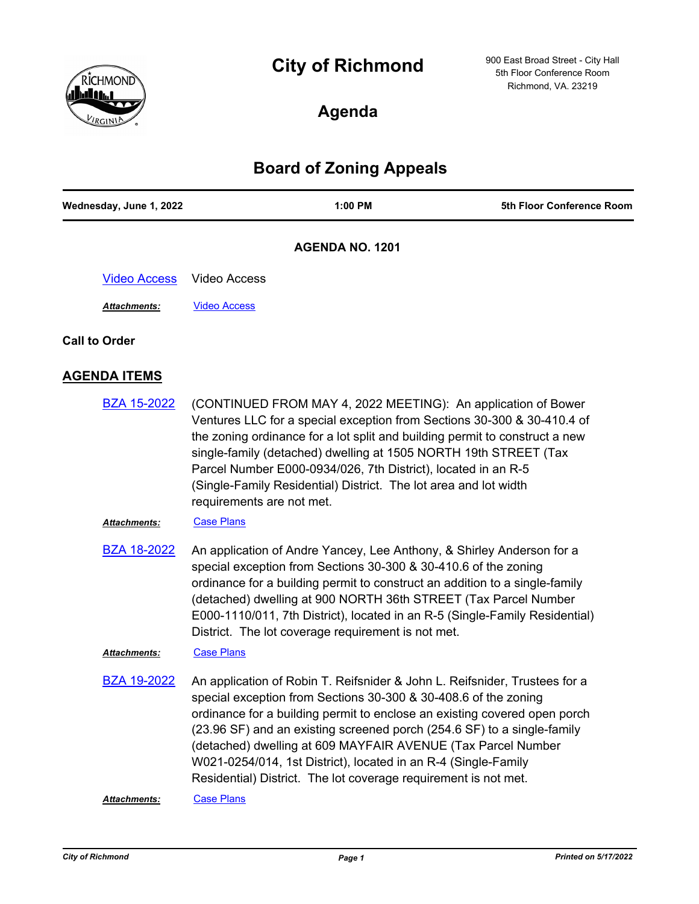# **City of Richmond**



900 East Broad Street - City Hall 5th Floor Conference Room Richmond, VA. 23219

# **Agenda**

# **Board of Zoning Appeals**

| Wednesday, June 1, 2022 | 1:00 PM                                                                                                                                                                                                                                                                                                                                                                                                                                                                                                    | 5th Floor Conference Room |
|-------------------------|------------------------------------------------------------------------------------------------------------------------------------------------------------------------------------------------------------------------------------------------------------------------------------------------------------------------------------------------------------------------------------------------------------------------------------------------------------------------------------------------------------|---------------------------|
|                         | <b>AGENDA NO. 1201</b>                                                                                                                                                                                                                                                                                                                                                                                                                                                                                     |                           |
| <b>Video Access</b>     | <b>Video Access</b>                                                                                                                                                                                                                                                                                                                                                                                                                                                                                        |                           |
| <b>Attachments:</b>     | <b>Video Access</b>                                                                                                                                                                                                                                                                                                                                                                                                                                                                                        |                           |
| <b>Call to Order</b>    |                                                                                                                                                                                                                                                                                                                                                                                                                                                                                                            |                           |
| <b>AGENDA ITEMS</b>     |                                                                                                                                                                                                                                                                                                                                                                                                                                                                                                            |                           |
| <b>BZA 15-2022</b>      | (CONTINUED FROM MAY 4, 2022 MEETING): An application of Bower<br>Ventures LLC for a special exception from Sections 30-300 & 30-410.4 of<br>the zoning ordinance for a lot split and building permit to construct a new<br>single-family (detached) dwelling at 1505 NORTH 19th STREET (Tax<br>Parcel Number E000-0934/026, 7th District), located in an R-5<br>(Single-Family Residential) District. The lot area and lot width<br>requirements are not met.                                              |                           |
| Attachments:            | <b>Case Plans</b>                                                                                                                                                                                                                                                                                                                                                                                                                                                                                          |                           |
| <b>BZA 18-2022</b>      | An application of Andre Yancey, Lee Anthony, & Shirley Anderson for a<br>special exception from Sections 30-300 & 30-410.6 of the zoning<br>ordinance for a building permit to construct an addition to a single-family<br>(detached) dwelling at 900 NORTH 36th STREET (Tax Parcel Number<br>E000-1110/011, 7th District), located in an R-5 (Single-Family Residential)<br>District. The lot coverage requirement is not met.                                                                            |                           |
| Attachments:            | <b>Case Plans</b>                                                                                                                                                                                                                                                                                                                                                                                                                                                                                          |                           |
| <b>BZA 19-2022</b>      | An application of Robin T. Reifsnider & John L. Reifsnider, Trustees for a<br>special exception from Sections 30-300 & 30-408.6 of the zoning<br>ordinance for a building permit to enclose an existing covered open porch<br>(23.96 SF) and an existing screened porch (254.6 SF) to a single-family<br>(detached) dwelling at 609 MAYFAIR AVENUE (Tax Parcel Number<br>W021-0254/014, 1st District), located in an R-4 (Single-Family<br>Residential) District. The lot coverage requirement is not met. |                           |
| Attachments:            | <b>Case Plans</b>                                                                                                                                                                                                                                                                                                                                                                                                                                                                                          |                           |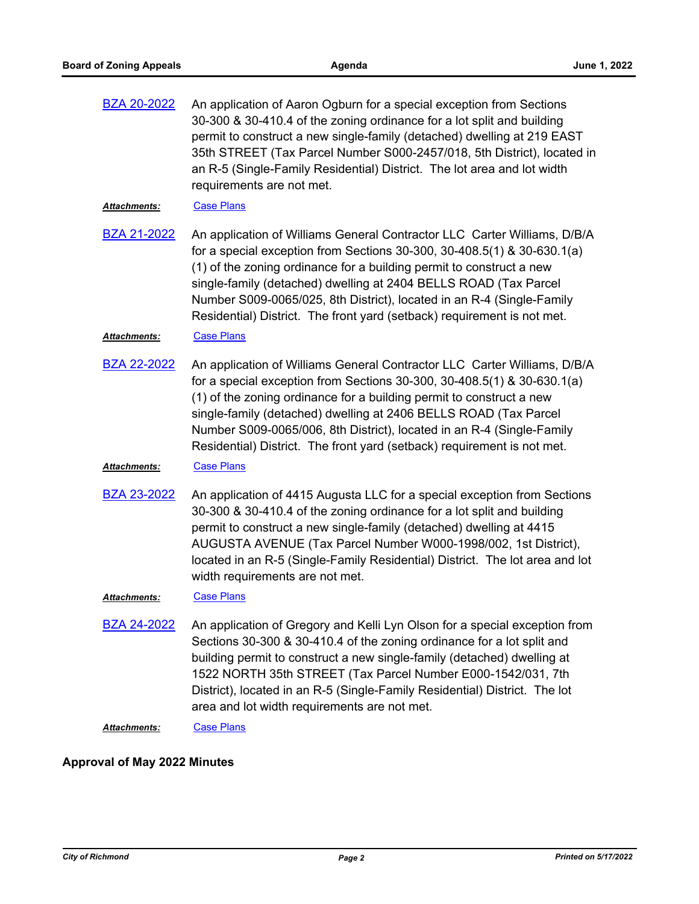| <b>BZA 20-2022</b> | An application of Aaron Ogburn for a special exception from Sections    |
|--------------------|-------------------------------------------------------------------------|
|                    | 30-300 & 30-410.4 of the zoning ordinance for a lot split and building  |
|                    | permit to construct a new single-family (detached) dwelling at 219 EAST |
|                    | 35th STREET (Tax Parcel Number S000-2457/018, 5th District), located in |
|                    | an R-5 (Single-Family Residential) District. The lot area and lot width |
|                    | requirements are not met.                                               |
|                    |                                                                         |

#### Attachments: [Case Plans](http://richmondva.legistar.com/gateway.aspx?M=F&ID=c706aa21-72d0-4431-b663-3bcbb56a2634.pdf)

An application of Williams General Contractor LLC Carter Williams, D/B/A for a special exception from Sections 30-300, 30-408.5(1) & 30-630.1(a) (1) of the zoning ordinance for a building permit to construct a new single-family (detached) dwelling at 2404 BELLS ROAD (Tax Parcel Number S009-0065/025, 8th District), located in an R-4 (Single-Family Residential) District. The front yard (setback) requirement is not met. [BZA 21-2022](http://richmondva.legistar.com/gateway.aspx?m=l&id=/matter.aspx?key=32170)

#### Attachments: [Case Plans](http://richmondva.legistar.com/gateway.aspx?M=F&ID=71f80c52-c520-40f8-94e0-d9812ba4f767.pdf)

An application of Williams General Contractor LLC Carter Williams, D/B/A for a special exception from Sections 30-300, 30-408.5(1) & 30-630.1(a) (1) of the zoning ordinance for a building permit to construct a new single-family (detached) dwelling at 2406 BELLS ROAD (Tax Parcel Number S009-0065/006, 8th District), located in an R-4 (Single-Family Residential) District. The front yard (setback) requirement is not met. [BZA 22-2022](http://richmondva.legistar.com/gateway.aspx?m=l&id=/matter.aspx?key=32171)

### *Attachments:* [Case Plans](http://richmondva.legistar.com/gateway.aspx?M=F&ID=82b2e5bf-f623-4015-8252-f6f8a7221ed4.pdf)

An application of 4415 Augusta LLC for a special exception from Sections 30-300 & 30-410.4 of the zoning ordinance for a lot split and building permit to construct a new single-family (detached) dwelling at 4415 AUGUSTA AVENUE (Tax Parcel Number W000-1998/002, 1st District), located in an R-5 (Single-Family Residential) District. The lot area and lot width requirements are not met. [BZA 23-2022](http://richmondva.legistar.com/gateway.aspx?m=l&id=/matter.aspx?key=32172)

## *Attachments:* [Case Plans](http://richmondva.legistar.com/gateway.aspx?M=F&ID=2955e343-a2e9-4f42-9399-829a78c45ade.pdf)

An application of Gregory and Kelli Lyn Olson for a special exception from Sections 30-300 & 30-410.4 of the zoning ordinance for a lot split and building permit to construct a new single-family (detached) dwelling at 1522 NORTH 35th STREET (Tax Parcel Number E000-1542/031, 7th District), located in an R-5 (Single-Family Residential) District. The lot area and lot width requirements are not met. [BZA 24-2022](http://richmondva.legistar.com/gateway.aspx?m=l&id=/matter.aspx?key=32173)

Attachments: [Case Plans](http://richmondva.legistar.com/gateway.aspx?M=F&ID=d68e52e0-ac9a-4643-b857-e3f60e00d60c.pdf)

### **Approval of May 2022 Minutes**